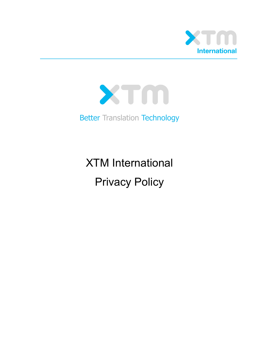



Better Translation Technology

XTM International Privacy Policy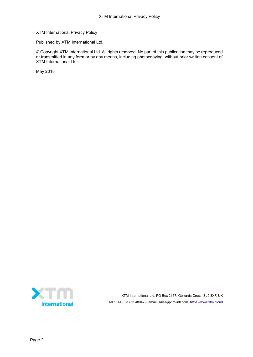XTM International Privacy Policy

Published by XTM International Ltd.

© Copyright XTM International Ltd. All rights reserved. No part of this publication may be reproduced or transmitted in any form or by any means, including photocopying, without prior written consent of XTM International Ltd.

May 2018



XTM-International Ltd, PO Box 2167, Gerrards Cross, SL9 8XF, UK Tel.: +44 (0)1753 480479 email: sales@xtm-intl.com [https://www.xtm.cloud](https://www.xtm.cloud/)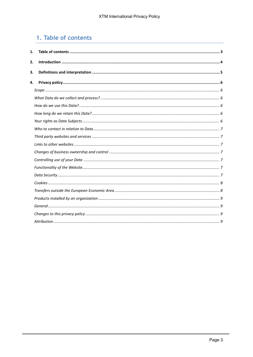# <span id="page-2-0"></span>1. Table of contents

| 1. |  |
|----|--|
| 2. |  |
| 3. |  |
| 4. |  |
|    |  |
|    |  |
|    |  |
|    |  |
|    |  |
|    |  |
|    |  |
|    |  |
|    |  |
|    |  |
|    |  |
|    |  |
|    |  |
|    |  |
|    |  |
|    |  |
|    |  |
|    |  |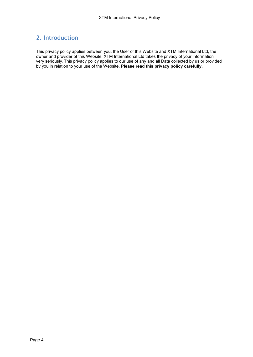# <span id="page-3-0"></span>**2. Introduction**

This privacy policy applies between you, the User of this Website and XTM International Ltd, the owner and provider of this Website. XTM International Ltd takes the privacy of your information very seriously. This privacy policy applies to our use of any and all Data collected by us or provided by you in relation to your use of the Website. **Please read this privacy policy carefully**.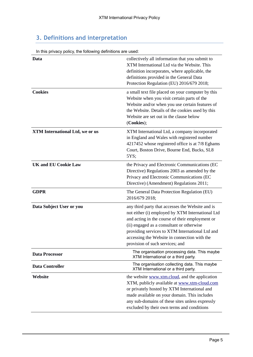# <span id="page-4-0"></span>**3. Definitions and interpretation**

| In this privacy policy, the following definitions are used: |                                                                                                                                                                                                                                                                                                                                            |  |
|-------------------------------------------------------------|--------------------------------------------------------------------------------------------------------------------------------------------------------------------------------------------------------------------------------------------------------------------------------------------------------------------------------------------|--|
| Data                                                        | collectively all information that you submit to<br>XTM International Ltd via the Website. This<br>definition incorporates, where applicable, the<br>definitions provided in the General Data<br>Protection Regulation (EU) 2016/679 2018;                                                                                                  |  |
| <b>Cookies</b>                                              | a small text file placed on your computer by this<br>Website when you visit certain parts of the<br>Website and/or when you use certain features of<br>the Website. Details of the cookies used by this<br>Website are set out in the clause below<br>(Cookies);                                                                           |  |
| <b>XTM International Ltd, we or us</b>                      | XTM International Ltd, a company incorporated<br>in England and Wales with registered number<br>4217452 whose registered office is at 7/8 Eghams<br>Court, Boston Drive, Bourne End, Bucks, SL8<br>5YS;                                                                                                                                    |  |
| <b>UK and EU Cookie Law</b>                                 | the Privacy and Electronic Communications (EC<br>Directive) Regulations 2003 as amended by the<br>Privacy and Electronic Communications (EC<br>Directive) (Amendment) Regulations 2011;                                                                                                                                                    |  |
| <b>GDPR</b>                                                 | The General Data Protection Regulation (EU)<br>2016/679 2018;                                                                                                                                                                                                                                                                              |  |
| Data Subject User or you                                    | any third party that accesses the Website and is<br>not either (i) employed by XTM International Ltd<br>and acting in the course of their employment or<br>(ii) engaged as a consultant or otherwise<br>providing services to XTM International Ltd and<br>accessing the Website in connection with the<br>provision of such services; and |  |
| <b>Data Processor</b>                                       | The organisation processing data. This maybe<br>XTM International or a third party.                                                                                                                                                                                                                                                        |  |
| <b>Data Controller</b>                                      | The organisation collecting data. This maybe<br>XTM International or a third party.                                                                                                                                                                                                                                                        |  |
| Website                                                     | the website www.xtm.cloud, and the application<br>XTM, publicly available at www.xtm-cloud.com<br>or privately hosted by XTM International and<br>made available on your domain. This includes<br>any sub-domains of these sites unless expressly<br>excluded by their own terms and conditions                                            |  |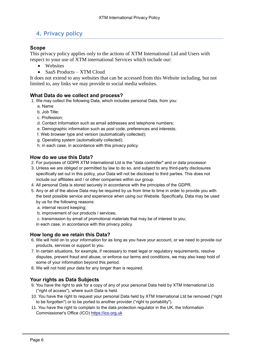# <span id="page-5-0"></span>**4. Privacy policy**

# <span id="page-5-1"></span>**Scope**

This privacy policy applies only to the actions of XTM International Ltd and Users with respect to your use of XTM international Services which include our:

- Websites
- SaaS Products XTM Cloud

It does not extend to any websites that can be accessed from this Website including, but not limited to, any links we may provide to social media websites.

#### <span id="page-5-2"></span>**What Data do we collect and process?**

1. We may collect the following Data, which includes personal Data, from you:

- a. Name
- b. Job Title;
- c. Profession;
- d. Contact Information such as email addresses and telephone numbers;
- e. Demographic information such as post code, preferences and interests;
- f. Web browser type and version (automatically collected);
- g. Operating system (automatically collected);
- h. in each case, in accordance with this privacy policy.

#### <span id="page-5-3"></span>**How do we use this Data?**

- 2. For purposes of GDPR XTM International Ltd is the "data controller" and or data processor.
- 3. Unless we are obliged or permitted by law to do so, and subject to any third-party disclosures specifically set out in this policy, your Data will not be disclosed to third parties. This does not include our affiliates and / or other companies within our group.
- 4. All personal Data is stored securely in accordance with the principles of the GDPR.
- 5. Any or all of the above Data may be required by us from time to time in order to provide you with the best possible service and experience when using our Website. Specifically, Data may be used by us for the following reasons:
	- a. internal record keeping;
	- b. improvement of our products / services;
	- c. transmission by email of promotional materials that may be of interest to you;

in each case, in accordance with this privacy policy.

## <span id="page-5-4"></span>**How long do we retain this Data?**

- 6. We will hold on to your information for as long as you have your account, or we need to provide our products, services or support to you.
- 7. In certain situations, for example, if necessary to meet legal or regulatory requirements, resolve disputes, prevent fraud and abuse, or enforce our terms and conditions, we may also keep hold of some of your information beyond this period.
- 8. We will not hold your data for any longer than is required.

# <span id="page-5-5"></span>**Your rights as Data Subjects**

- 9. You have the right to ask for a copy of any of your personal Data held by XTM International Ltd ("right of access"), where such Data is held.
- 10. You have the right to request your personal Data held by XTM International Ltd be removed ("right to be forgotten") or to be ported to another provider ("right to portability").
- 11. You have the right to complain to the data protection regulator in the UK, the Information Commissioner's Office (ICO) [https://ico.org.uk](https://ico.org.uk/)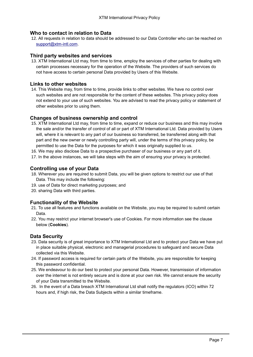#### <span id="page-6-0"></span>**Who to contact in relation to Data**

12. All requests in relation to data should be addressed to our Data Controller who can be reached on [support@xtm-intl.com.](mailto:support@xtm-intl.com)

#### <span id="page-6-1"></span>**Third party websites and services**

13. XTM International Ltd may, from time to time, employ the services of other parties for dealing with certain processes necessary for the operation of the Website. The providers of such services do not have access to certain personal Data provided by Users of this Website.

#### <span id="page-6-2"></span>**Links to other websites**

14. This Website may, from time to time, provide links to other websites. We have no control over such websites and are not responsible for the content of these websites. This privacy policy does not extend to your use of such websites. You are advised to read the privacy policy or statement of other websites prior to using them.

#### <span id="page-6-3"></span>**Changes of business ownership and control**

- 15. XTM International Ltd may, from time to time, expand or reduce our business and this may involve the sale and/or the transfer of control of all or part of XTM International Ltd. Data provided by Users will, where it is relevant to any part of our business so transferred, be transferred along with that part and the new owner or newly controlling party will, under the terms of this privacy policy, be permitted to use the Data for the purposes for which it was originally supplied to us.
- 16. We may also disclose Data to a prospective purchaser of our business or any part of it.
- 17. In the above instances, we will take steps with the aim of ensuring your privacy is protected.

#### <span id="page-6-4"></span>**Controlling use of your Data**

- 18. Wherever you are required to submit Data, you will be given options to restrict our use of that Data. This may include the following:
- 19. use of Data for direct marketing purposes; and
- 20. sharing Data with third parties.

#### <span id="page-6-5"></span>**Functionality of the Website**

- 21. To use all features and functions available on the Website, you may be required to submit certain Data.
- 22. You may restrict your internet browser's use of Cookies. For more information see the clause below (**Cookies**).

#### <span id="page-6-6"></span>**Data Security**

- 23. Data security is of great importance to XTM International Ltd and to protect your Data we have put in place suitable physical, electronic and managerial procedures to safeguard and secure Data collected via this Website.
- 24. If password access is required for certain parts of the Website, you are responsible for keeping this password confidential.
- 25. We endeavour to do our best to protect your personal Data. However, transmission of information over the internet is not entirely secure and is done at your own risk. We cannot ensure the security of your Data transmitted to the Website.
- 26. In the event of a Data breach XTM International Ltd shall notify the regulators (ICO) within 72 hours and, if high risk, the Data Subjects within a similar timeframe.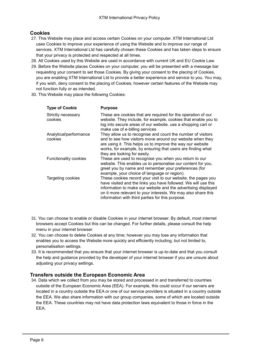# <span id="page-7-0"></span>**Cookies**

- 27. This Website may place and access certain Cookies on your computer. XTM International Ltd uses Cookies to improve your experience of using the Website and to improve our range of services. XTM International Ltd has carefully chosen these Cookies and has taken steps to ensure that your privacy is protected and respected at all times.
- 28. All Cookies used by this Website are used in accordance with current UK and EU Cookie Law.
- 29. Before the Website places Cookies on your computer, you will be presented with a message bar requesting your consent to set those Cookies. By giving your consent to the placing of Cookies, you are enabling XTM International Ltd to provide a better experience and service to you. You may, if you wish, deny consent to the placing of Cookies; however certain features of the Website may not function fully or as intended.
- 30. This Website may place the following Cookies:

| <b>Type of Cookie</b>             | <b>Purpose</b>                                                                                                                                                                                                                                                                                                        |
|-----------------------------------|-----------------------------------------------------------------------------------------------------------------------------------------------------------------------------------------------------------------------------------------------------------------------------------------------------------------------|
| Strictly necessary<br>cookies     | These are cookies that are required for the operation of our<br>website. They include, for example, cookies that enable you to<br>log into secure areas of our website, use a shopping cart or<br>make use of e-billing services                                                                                      |
| Analytical/performance<br>cookies | They allow us to recognise and count the number of visitors<br>and to see how visitors move around our website when they<br>are using it. This helps us to improve the way our website<br>works, for example, by ensuring that users are finding what<br>they are looking for easily.                                 |
| Functionality cookies             | These are used to recognise you when you return to our<br>website. This enables us to personalise our content for you,<br>greet you by name and remember your preferences (for<br>example, your choice of language or region).                                                                                        |
| Targeting cookies                 | These cookies record your visit to our website, the pages you<br>have visited and the links you have followed. We will use this<br>information to make our website and the advertising displayed<br>on it more relevant to your interests. We may also share this<br>information with third parties for this purpose. |

- 31. You can choose to enable or disable Cookies in your internet browser. By default, most internet browsers accept Cookies but this can be changed. For further details, please consult the help menu in your internet browser.
- 32. You can choose to delete Cookies at any time; however you may lose any information that enables you to access the Website more quickly and efficiently including, but not limited to, personalisation settings.
- 33. It is recommended that you ensure that your internet browser is up-to-date and that you consult the help and guidance provided by the developer of your internet browser if you are unsure about adjusting your privacy settings.

## <span id="page-7-1"></span>**Transfers outside the European Economic Area**

34. Data which we collect from you may be stored and processed in and transferred to countries outside of the European Economic Area (EEA). For example, this could occur if our servers are located in a country outside the EEA or one of our service providers is situated in a country outside the EEA. We also share information with our group companies, some of which are located outside the EEA. These countries may not have data protection laws equivalent to those in force in the EEA.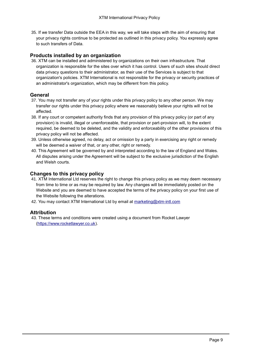35. If we transfer Data outside the EEA in this way, we will take steps with the aim of ensuring that your privacy rights continue to be protected as outlined in this privacy policy. You expressly agree to such transfers of Data.

# <span id="page-8-0"></span>**Products installed by an organization**

36. XTM can be installed and administered by organizations on their own infrastructure. That organization is responsible for the sites over which it has control. Users of such sites should direct data privacy questions to their administrator, as their use of the Services is subject to that organization's policies. XTM International is not responsible for the privacy or security practices of an administrator's organization, which may be different from this policy.

# <span id="page-8-1"></span>**General**

- 37. You may not transfer any of your rights under this privacy policy to any other person. We may transfer our rights under this privacy policy where we reasonably believe your rights will not be affected.
- 38. If any court or competent authority finds that any provision of this privacy policy (or part of any provision) is invalid, illegal or unenforceable, that provision or part-provision will, to the extent required, be deemed to be deleted, and the validity and enforceability of the other provisions of this privacy policy will not be affected.
- 39. Unless otherwise agreed, no delay, act or omission by a party in exercising any right or remedy will be deemed a waiver of that, or any other, right or remedy.
- 40. This Agreement will be governed by and interpreted according to the law of England and Wales. All disputes arising under the Agreement will be subject to the exclusive jurisdiction of the English and Welsh courts.

# <span id="page-8-2"></span>**Changes to this privacy policy**

- 41. XTM International Ltd reserves the right to change this privacy policy as we may deem necessary from time to time or as may be required by law. Any changes will be immediately posted on the Website and you are deemed to have accepted the terms of the privacy policy on your first use of the Website following the alterations.
- 42. You may contact XTM International Ltd by email at [marketing@xtm-intl.com](mailto:marketing@xtm-intl.com)

## <span id="page-8-3"></span>**Attribution**

43. These terms and conditions were created using a document from Rocket Lawyer [\(https://www.rocketlawyer.co.uk\)](https://www.rocketlawyer.co.uk/).